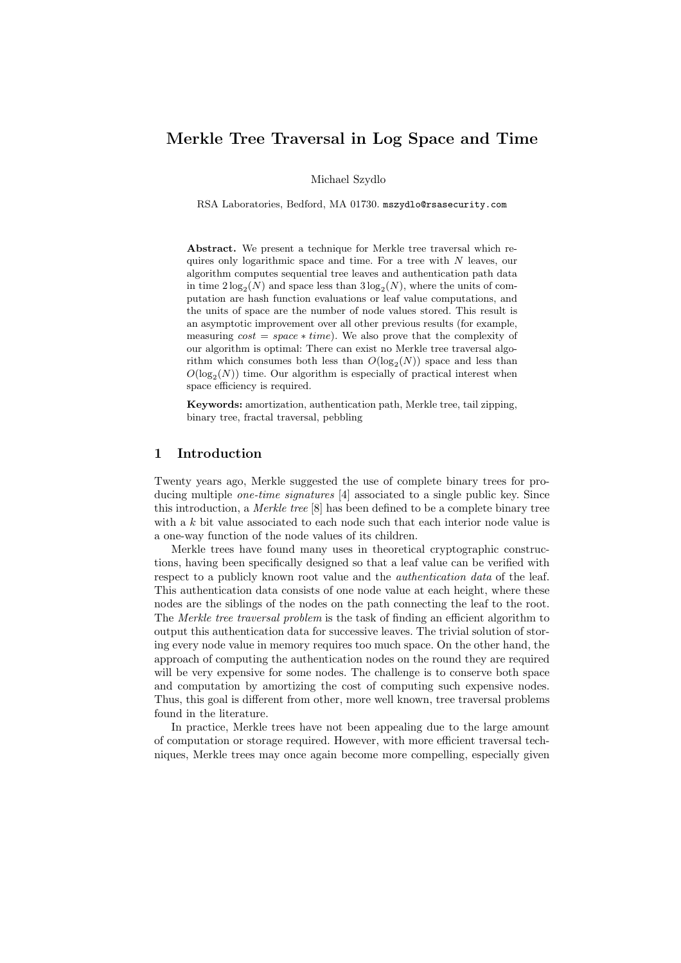# Merkle Tree Traversal in Log Space and Time

Michael Szydlo

RSA Laboratories, Bedford, MA 01730. mszydlo@rsasecurity.com

Abstract. We present a technique for Merkle tree traversal which requires only logarithmic space and time. For a tree with N leaves, our algorithm computes sequential tree leaves and authentication path data in time  $2\log_2(N)$  and space less than  $3\log_2(N)$ , where the units of computation are hash function evaluations or leaf value computations, and the units of space are the number of node values stored. This result is an asymptotic improvement over all other previous results (for example, measuring  $cost = space * time$ ). We also prove that the complexity of our algorithm is optimal: There can exist no Merkle tree traversal algorithm which consumes both less than  $O(log_2(N))$  space and less than  $O(log_2(N))$  time. Our algorithm is especially of practical interest when space efficiency is required.

Keywords: amortization, authentication path, Merkle tree, tail zipping, binary tree, fractal traversal, pebbling

### 1 Introduction

Twenty years ago, Merkle suggested the use of complete binary trees for producing multiple *one-time signatures* [4] associated to a single public key. Since this introduction, a Merkle tree [8] has been defined to be a complete binary tree with a  $k$  bit value associated to each node such that each interior node value is a one-way function of the node values of its children.

Merkle trees have found many uses in theoretical cryptographic constructions, having been specifically designed so that a leaf value can be verified with respect to a publicly known root value and the *authentication data* of the leaf. This authentication data consists of one node value at each height, where these nodes are the siblings of the nodes on the path connecting the leaf to the root. The Merkle tree traversal problem is the task of finding an efficient algorithm to output this authentication data for successive leaves. The trivial solution of storing every node value in memory requires too much space. On the other hand, the approach of computing the authentication nodes on the round they are required will be very expensive for some nodes. The challenge is to conserve both space and computation by amortizing the cost of computing such expensive nodes. Thus, this goal is different from other, more well known, tree traversal problems found in the literature.

In practice, Merkle trees have not been appealing due to the large amount of computation or storage required. However, with more efficient traversal techniques, Merkle trees may once again become more compelling, especially given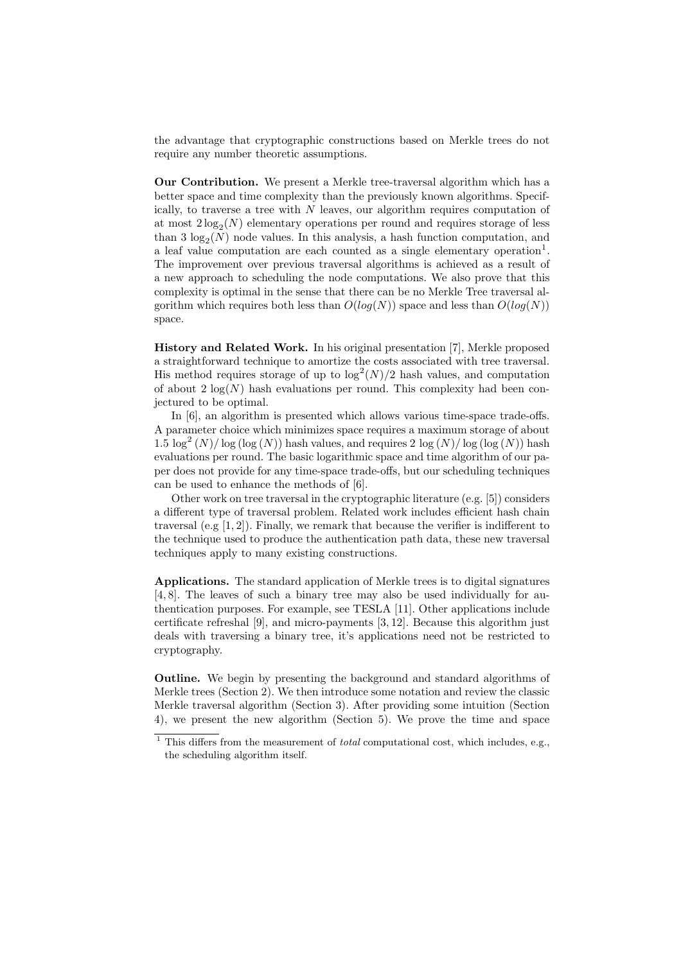the advantage that cryptographic constructions based on Merkle trees do not require any number theoretic assumptions.

Our Contribution. We present a Merkle tree-traversal algorithm which has a better space and time complexity than the previously known algorithms. Specifically, to traverse a tree with  $N$  leaves, our algorithm requires computation of at most  $2\log_2(N)$  elementary operations per round and requires storage of less than 3  $log_2(N)$  node values. In this analysis, a hash function computation, and a leaf value computation are each counted as a single elementary operation<sup>1</sup>. The improvement over previous traversal algorithms is achieved as a result of a new approach to scheduling the node computations. We also prove that this complexity is optimal in the sense that there can be no Merkle Tree traversal algorithm which requires both less than  $O(log(N))$  space and less than  $O(log(N))$ space.

History and Related Work. In his original presentation [7], Merkle proposed a straightforward technique to amortize the costs associated with tree traversal. His method requires storage of up to  $\log^2(N)/2$  hash values, and computation of about  $2 \log(N)$  hash evaluations per round. This complexity had been conjectured to be optimal.

In [6], an algorithm is presented which allows various time-space trade-offs. A parameter choice which minimizes space requires a maximum storage of about  $1.5 \log^2(N)/\log(\log(N))$  hash values, and requires  $2 \log(N)/\log(\log(N))$  hash evaluations per round. The basic logarithmic space and time algorithm of our paper does not provide for any time-space trade-offs, but our scheduling techniques can be used to enhance the methods of [6].

Other work on tree traversal in the cryptographic literature (e.g. [5]) considers a different type of traversal problem. Related work includes efficient hash chain traversal  $(e, g [1, 2])$ . Finally, we remark that because the verifier is indifferent to the technique used to produce the authentication path data, these new traversal techniques apply to many existing constructions.

Applications. The standard application of Merkle trees is to digital signatures [4, 8]. The leaves of such a binary tree may also be used individually for authentication purposes. For example, see TESLA [11]. Other applications include certificate refreshal [9], and micro-payments [3, 12]. Because this algorithm just deals with traversing a binary tree, it's applications need not be restricted to cryptography.

Outline. We begin by presenting the background and standard algorithms of Merkle trees (Section 2). We then introduce some notation and review the classic Merkle traversal algorithm (Section 3). After providing some intuition (Section 4), we present the new algorithm (Section 5). We prove the time and space

 $1$  This differs from the measurement of *total* computational cost, which includes, e.g., the scheduling algorithm itself.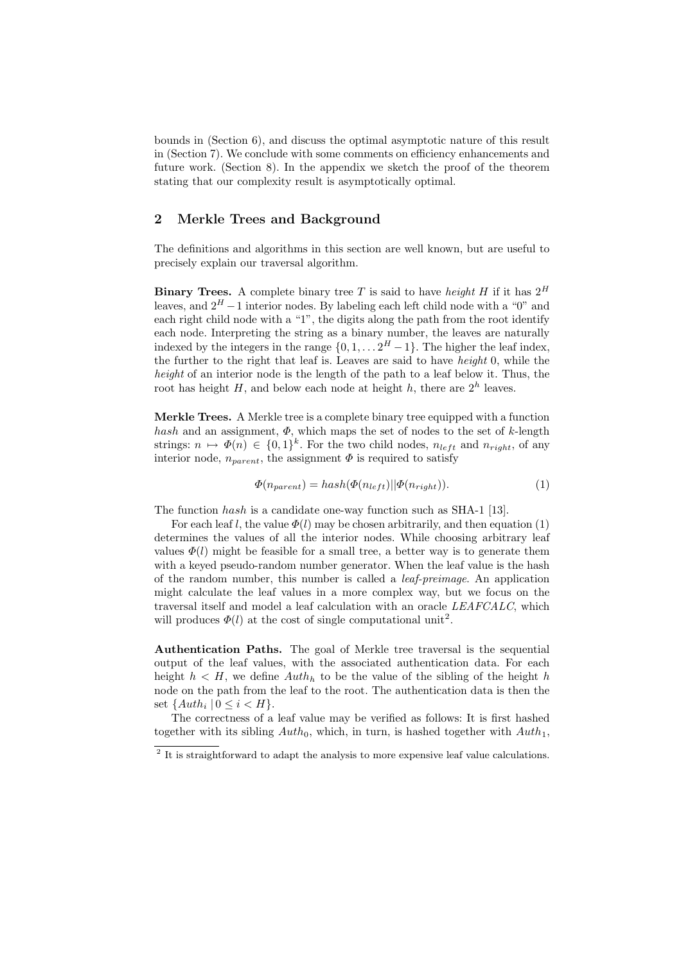bounds in (Section 6), and discuss the optimal asymptotic nature of this result in (Section 7). We conclude with some comments on efficiency enhancements and future work. (Section 8). In the appendix we sketch the proof of the theorem stating that our complexity result is asymptotically optimal.

## 2 Merkle Trees and Background

The definitions and algorithms in this section are well known, but are useful to precisely explain our traversal algorithm.

**Binary Trees.** A complete binary tree T is said to have *height H* if it has  $2^H$ leaves, and  $2^H - 1$  interior nodes. By labeling each left child node with a "0" and each right child node with a "1", the digits along the path from the root identify each node. Interpreting the string as a binary number, the leaves are naturally indexed by the integers in the range  $\{0, 1, \ldots 2^H - 1\}$ . The higher the leaf index, the further to the right that leaf is. Leaves are said to have height 0, while the height of an interior node is the length of the path to a leaf below it. Thus, the root has height  $H$ , and below each node at height  $h$ , there are  $2<sup>h</sup>$  leaves.

Merkle Trees. A Merkle tree is a complete binary tree equipped with a function hash and an assignment,  $\Phi$ , which maps the set of nodes to the set of k-length strings:  $n \mapsto \Phi(n) \in \{0,1\}^k$ . For the two child nodes,  $n_{left}$  and  $n_{right}$ , of any interior node,  $n_{parent}$ , the assignment  $\Phi$  is required to satisfy

$$
\Phi(n_{parent}) = hash(\Phi(n_{left})||\Phi(n_{right})).\tag{1}
$$

The function hash is a candidate one-way function such as SHA-1 [13].

For each leaf l, the value  $\Phi(l)$  may be chosen arbitrarily, and then equation (1) determines the values of all the interior nodes. While choosing arbitrary leaf values  $\Phi(l)$  might be feasible for a small tree, a better way is to generate them with a keyed pseudo-random number generator. When the leaf value is the hash of the random number, this number is called a leaf-preimage. An application might calculate the leaf values in a more complex way, but we focus on the traversal itself and model a leaf calculation with an oracle LEAFCALC, which will produces  $\Phi(l)$  at the cost of single computational unit<sup>2</sup>.

Authentication Paths. The goal of Merkle tree traversal is the sequential output of the leaf values, with the associated authentication data. For each height  $h < H$ , we define  $\Delta u$ th<sub>h</sub> to be the value of the sibling of the height h node on the path from the leaf to the root. The authentication data is then the set  $\{Auth_i \mid 0 \leq i < H\}.$ 

The correctness of a leaf value may be verified as follows: It is first hashed together with its sibling  $Auth_0$ , which, in turn, is hashed together with  $Auth_1$ ,

 $2$  It is straightforward to adapt the analysis to more expensive leaf value calculations.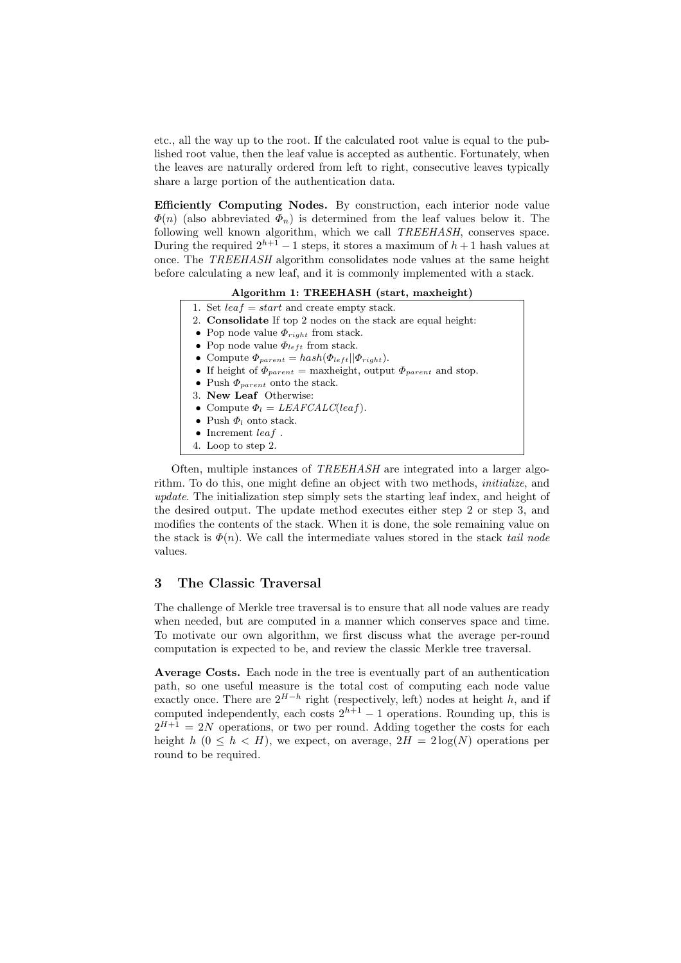etc., all the way up to the root. If the calculated root value is equal to the published root value, then the leaf value is accepted as authentic. Fortunately, when the leaves are naturally ordered from left to right, consecutive leaves typically share a large portion of the authentication data.

Efficiently Computing Nodes. By construction, each interior node value  $\Phi(n)$  (also abbreviated  $\Phi_n$ ) is determined from the leaf values below it. The following well known algorithm, which we call TREEHASH, conserves space. During the required  $2^{h+1} - 1$  steps, it stores a maximum of  $h + 1$  hash values at once. The TREEHASH algorithm consolidates node values at the same height before calculating a new leaf, and it is commonly implemented with a stack.

#### Algorithm 1: TREEHASH (start, maxheight)

- 1. Set  $leaf = start$  and create empty stack.
- 2. Consolidate If top 2 nodes on the stack are equal height:
- Pop node value  $\Phi_{right}$  from stack.
- Pop node value  $\Phi_{left}$  from stack.
- Compute  $\Phi_{parent} = hash(\Phi_{left}||\Phi_{right}).$
- If height of  $\Phi_{parent}$  = maxheight, output  $\Phi_{parent}$  and stop.
- Push  $\Phi_{parent}$  onto the stack.
- 3. New Leaf Otherwise:
- Compute  $\Phi_l = LEAFCALC(leaf).$
- Push  $\Phi_l$  onto stack.
- Increment  $leaf$ .
- 4. Loop to step 2.

Often, multiple instances of TREEHASH are integrated into a larger algorithm. To do this, one might define an object with two methods, initialize, and update. The initialization step simply sets the starting leaf index, and height of the desired output. The update method executes either step 2 or step 3, and modifies the contents of the stack. When it is done, the sole remaining value on the stack is  $\Phi(n)$ . We call the intermediate values stored in the stack tail node values.

### 3 The Classic Traversal

The challenge of Merkle tree traversal is to ensure that all node values are ready when needed, but are computed in a manner which conserves space and time. To motivate our own algorithm, we first discuss what the average per-round computation is expected to be, and review the classic Merkle tree traversal.

Average Costs. Each node in the tree is eventually part of an authentication path, so one useful measure is the total cost of computing each node value exactly once. There are  $2^{H-h}$  right (respectively, left) nodes at height h, and if computed independently, each costs  $2^{h+1} - 1$  operations. Rounding up, this is  $2^{H+1} = 2N$  operations, or two per round. Adding together the costs for each height h  $(0 \le h \le H)$ , we expect, on average,  $2H = 2 \log(N)$  operations per round to be required.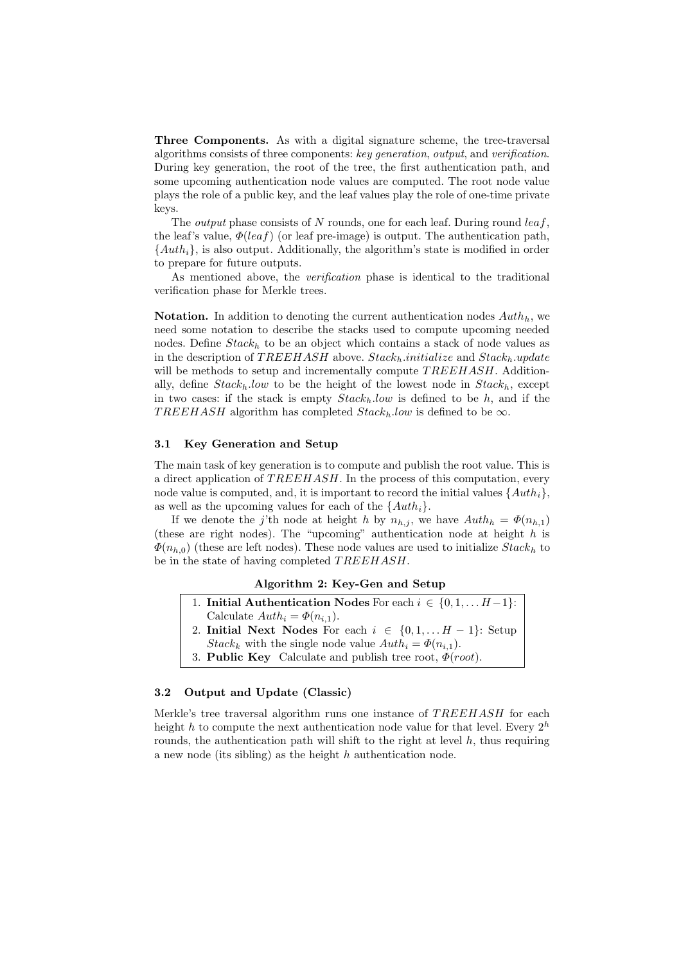Three Components. As with a digital signature scheme, the tree-traversal algorithms consists of three components: key generation, output, and verification. During key generation, the root of the tree, the first authentication path, and some upcoming authentication node values are computed. The root node value plays the role of a public key, and the leaf values play the role of one-time private keys.

The *output* phase consists of  $N$  rounds, one for each leaf. During round *leaf*, the leaf's value,  $\Phi(leaf)$  (or leaf pre-image) is output. The authentication path,  $\{Auth_i\}$ , is also output. Additionally, the algorithm's state is modified in order to prepare for future outputs.

As mentioned above, the verification phase is identical to the traditional verification phase for Merkle trees.

**Notation.** In addition to denoting the current authentication nodes  $\text{Aut}h_h$ , we need some notation to describe the stacks used to compute upcoming needed nodes. Define  $Stack<sub>h</sub>$  to be an object which contains a stack of node values as in the description of TREEHASH above.  $Stack_h$  initialize and  $Stack_h$  update will be methods to setup and incrementally compute  $TREEHASH$ . Additionally, define  $Stack_h, low$  to be the height of the lowest node in  $Stack_h$ , except in two cases: if the stack is empty  $Stack_h, low$  is defined to be h, and if the TREEHASH algorithm has completed  $Stack_h, low$  is defined to be  $\infty$ .

#### 3.1 Key Generation and Setup

The main task of key generation is to compute and publish the root value. This is a direct application of TREEHASH. In the process of this computation, every node value is computed, and, it is important to record the initial values  $\{Auth_i\}$ , as well as the upcoming values for each of the  $\{Auth_i\}.$ 

If we denote the j'th node at height h by  $n_{h,j}$ , we have  $Auth_h = \Phi(n_{h,1})$ (these are right nodes). The "upcoming" authentication node at height  $h$  is  $\Phi(n_{h,0})$  (these are left nodes). These node values are used to initialize  $Stack_h$  to be in the state of having completed TREEHASH.

Algorithm 2: Key-Gen and Setup

- **Initial Authentication Nodes** For each  $i \in \{0, 1, \ldots H-1\}$ : Calculate  $Auth_i = \Phi(n_{i,1}).$
- 2. Initial Next Nodes For each  $i \in \{0, 1, \ldots H-1\}$ : Setup
- $Stack_k$  with the single node value  $Auth_i = \Phi(n_{i,1}).$
- 3. **Public Key** Calculate and publish tree root,  $\Phi(root)$ .

#### 3.2 Output and Update (Classic)

Merkle's tree traversal algorithm runs one instance of TREEHASH for each height h to compute the next authentication node value for that level. Every  $2^h$ rounds, the authentication path will shift to the right at level  $h$ , thus requiring a new node (its sibling) as the height h authentication node.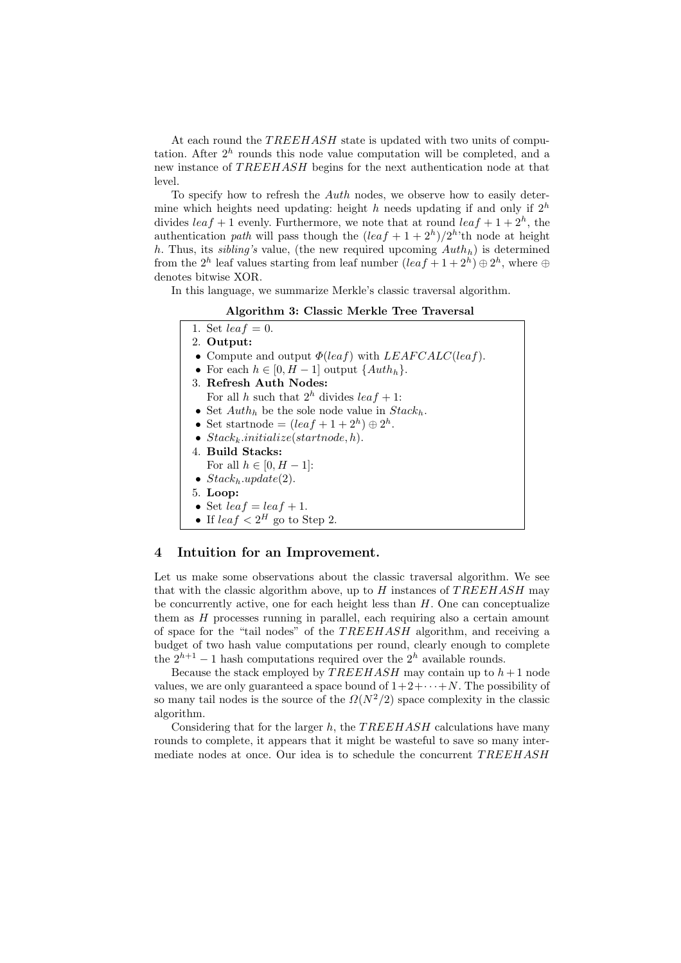At each round the TREEHASH state is updated with two units of computation. After  $2^h$  rounds this node value computation will be completed, and a new instance of TREEHASH begins for the next authentication node at that level.

To specify how to refresh the Auth nodes, we observe how to easily determine which heights need updating: height  $h$  needs updating if and only if  $2<sup>h</sup>$ divides  $leaf + 1$  evenly. Furthermore, we note that at round  $leaf + 1 + 2<sup>h</sup>$ , the authentication *path* will pass though the  $(leaf + 1 + 2<sup>h</sup>)/2<sup>h</sup>$ <sup>th</sup> node at height h. Thus, its *sibling's* value, (the new required upcoming  $Auth_h$ ) is determined from the  $2^h$  leaf values starting from leaf number  $(leaf + 1 + 2^h) \oplus 2^h$ , where  $\oplus$ denotes bitwise XOR.

In this language, we summarize Merkle's classic traversal algorithm.

Algorithm 3: Classic Merkle Tree Traversal

1. Set  $leaf = 0$ . 2. Output: • Compute and output  $\Phi(leaf)$  with  $LEAFCALC(leaf)$ . • For each  $h \in [0, H - 1]$  output  $\{Auth_h\}.$ 3. Refresh Auth Nodes: For all h such that  $2^h$  divides  $leaf + 1$ : • Set  $Auth_h$  be the sole node value in  $Stack_h$ . • Set startnode =  $(leaf + 1 + 2<sup>h</sup>) \oplus 2<sup>h</sup>$ . •  $Stack_k.initalize(start node, h)$ . 4. Build Stacks: For all  $h \in [0, H - 1]$ : •  $Stack_h.update(2)$ . 5. Loop: • Set  $leaf = leaf + 1$ . • If  $leaf < 2^H$  go to Step 2.

## 4 Intuition for an Improvement.

Let us make some observations about the classic traversal algorithm. We see that with the classic algorithm above, up to  $H$  instances of  $TREEHASH$  may be concurrently active, one for each height less than  $H$ . One can conceptualize them as  $H$  processes running in parallel, each requiring also a certain amount of space for the "tail nodes" of the TREEHASH algorithm, and receiving a budget of two hash value computations per round, clearly enough to complete the  $2^{h+1} - 1$  hash computations required over the  $2^h$  available rounds.

Because the stack employed by  $TREEHASH$  may contain up to  $h+1$  node values, we are only guaranteed a space bound of  $1+2+\cdots+N$ . The possibility of so many tail nodes is the source of the  $\Omega(N^2/2)$  space complexity in the classic algorithm.

Considering that for the larger  $h$ , the TREEHASH calculations have many rounds to complete, it appears that it might be wasteful to save so many intermediate nodes at once. Our idea is to schedule the concurrent TREEHASH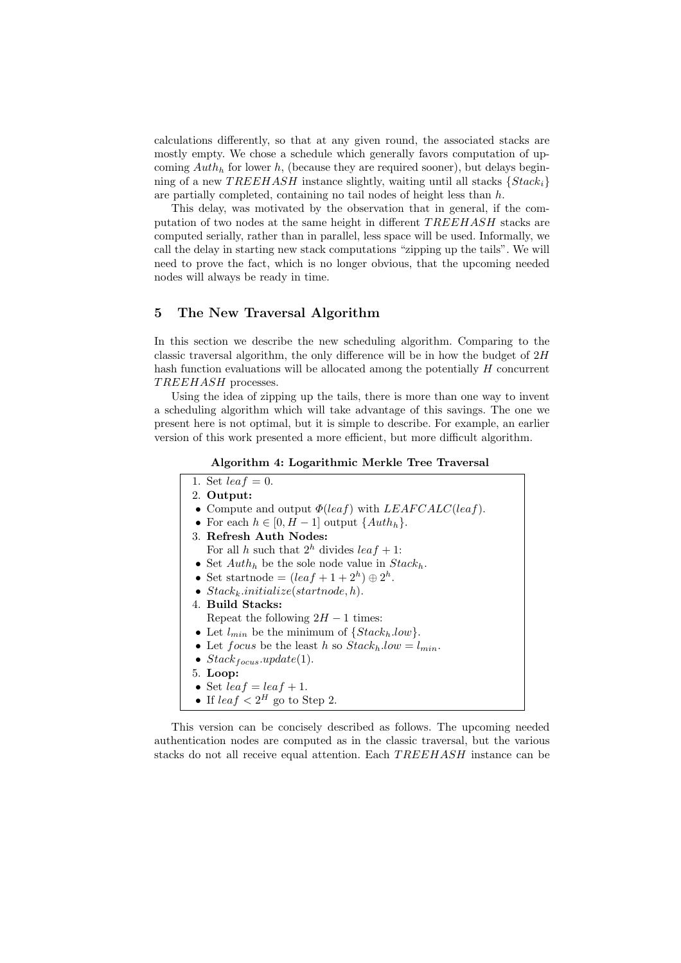calculations differently, so that at any given round, the associated stacks are mostly empty. We chose a schedule which generally favors computation of upcoming  $Authorh$ , (because they are required sooner), but delays beginning of a new TREEHASH instance slightly, waiting until all stacks  ${Stack<sub>i</sub>}$ are partially completed, containing no tail nodes of height less than h.

This delay, was motivated by the observation that in general, if the computation of two nodes at the same height in different TREEHASH stacks are computed serially, rather than in parallel, less space will be used. Informally, we call the delay in starting new stack computations "zipping up the tails". We will need to prove the fact, which is no longer obvious, that the upcoming needed nodes will always be ready in time.

## 5 The New Traversal Algorithm

In this section we describe the new scheduling algorithm. Comparing to the classic traversal algorithm, the only difference will be in how the budget of 2H hash function evaluations will be allocated among the potentially H concurrent TREEHASH processes.

Using the idea of zipping up the tails, there is more than one way to invent a scheduling algorithm which will take advantage of this savings. The one we present here is not optimal, but it is simple to describe. For example, an earlier version of this work presented a more efficient, but more difficult algorithm.

#### Algorithm 4: Logarithmic Merkle Tree Traversal

| 1. Set $leaf = 0$ .                                             |
|-----------------------------------------------------------------|
| 2. Output:                                                      |
| • Compute and output $\Phi(leaf)$ with $LEAFCALC(leaf)$ .       |
| • For each $h \in [0, H-1]$ output $\{Auth_h\}.$                |
| 3. Refresh Auth Nodes:                                          |
| For all h such that $2^h$ divides $leaf + 1$ :                  |
| • Set $Auth_h$ be the sole node value in $Stack_h$ .            |
| • Set starthode = $(leaf + 1 + 2h) \oplus 2h$ .                 |
| • $Stack_k. initialize(start node, h).$                         |
| 4. Build Stacks:                                                |
| Repeat the following $2H - 1$ times:                            |
| • Let $l_{min}$ be the minimum of $\{Stack_h, low\}$ .          |
| • Let <i>focus</i> be the least h so $Stack_h, low = l_{min}$ . |
| • $Stack_{focus}.update(1).$                                    |
| $5.$ Loop:                                                      |
| • Set $leaf = leaf + 1$ .                                       |
| • If $leaf < 2^H$ go to Step 2.                                 |

This version can be concisely described as follows. The upcoming needed authentication nodes are computed as in the classic traversal, but the various stacks do not all receive equal attention. Each TREEHASH instance can be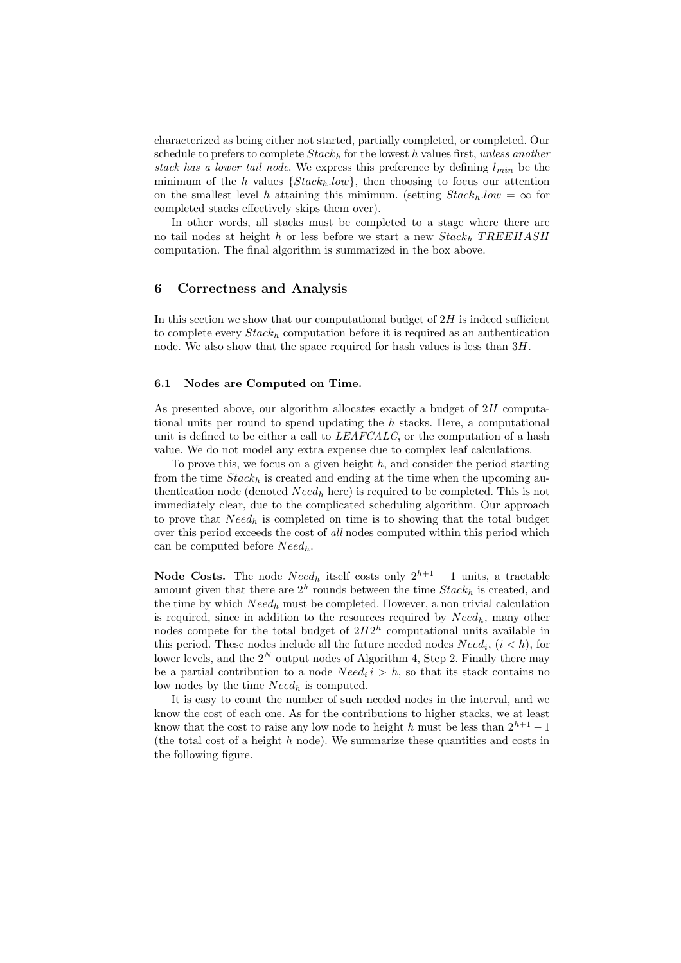characterized as being either not started, partially completed, or completed. Our schedule to prefers to complete  $Stack_h$  for the lowest h values first, unless another stack has a lower tail node. We express this preference by defining  $l_{min}$  be the minimum of the h values  $\{Stack_h, low\}$ , then choosing to focus our attention on the smallest level h attaining this minimum. (setting  $Stack_h, low = \infty$  for completed stacks effectively skips them over).

In other words, all stacks must be completed to a stage where there are no tail nodes at height h or less before we start a new  $Stack_h$  TREEHASH computation. The final algorithm is summarized in the box above.

#### 6 Correctness and Analysis

In this section we show that our computational budget of  $2H$  is indeed sufficient to complete every  $Stack_h$  computation before it is required as an authentication node. We also show that the space required for hash values is less than  $3H$ .

#### 6.1 Nodes are Computed on Time.

As presented above, our algorithm allocates exactly a budget of 2H computational units per round to spend updating the h stacks. Here, a computational unit is defined to be either a call to  $LEAFCALC$ , or the computation of a hash value. We do not model any extra expense due to complex leaf calculations.

To prove this, we focus on a given height  $h$ , and consider the period starting from the time  $Stack_h$  is created and ending at the time when the upcoming authentication node (denoted  $Need<sub>h</sub>$  here) is required to be completed. This is not immediately clear, due to the complicated scheduling algorithm. Our approach to prove that  $Need_h$  is completed on time is to showing that the total budget over this period exceeds the cost of all nodes computed within this period which can be computed before  $Need_h$ .

**Node Costs.** The node  $Need_h$  itself costs only  $2^{h+1} - 1$  units, a tractable amount given that there are  $2^h$  rounds between the time  $Stack_h$  is created, and the time by which  $Need<sub>h</sub>$  must be completed. However, a non trivial calculation is required, since in addition to the resources required by  $Need<sub>h</sub>$ , many other nodes compete for the total budget of  $2H2^h$  computational units available in this period. These nodes include all the future needed nodes  $Need<sub>i</sub>, (i < h)$ , for lower levels, and the  $2^N$  output nodes of Algorithm 4, Step 2. Finally there may be a partial contribution to a node  $Need_i i > h$ , so that its stack contains no low nodes by the time  $Need<sub>h</sub>$  is computed.

It is easy to count the number of such needed nodes in the interval, and we know the cost of each one. As for the contributions to higher stacks, we at least know that the cost to raise any low node to height h must be less than  $2^{h+1} - 1$ (the total cost of a height  $h$  node). We summarize these quantities and costs in the following figure.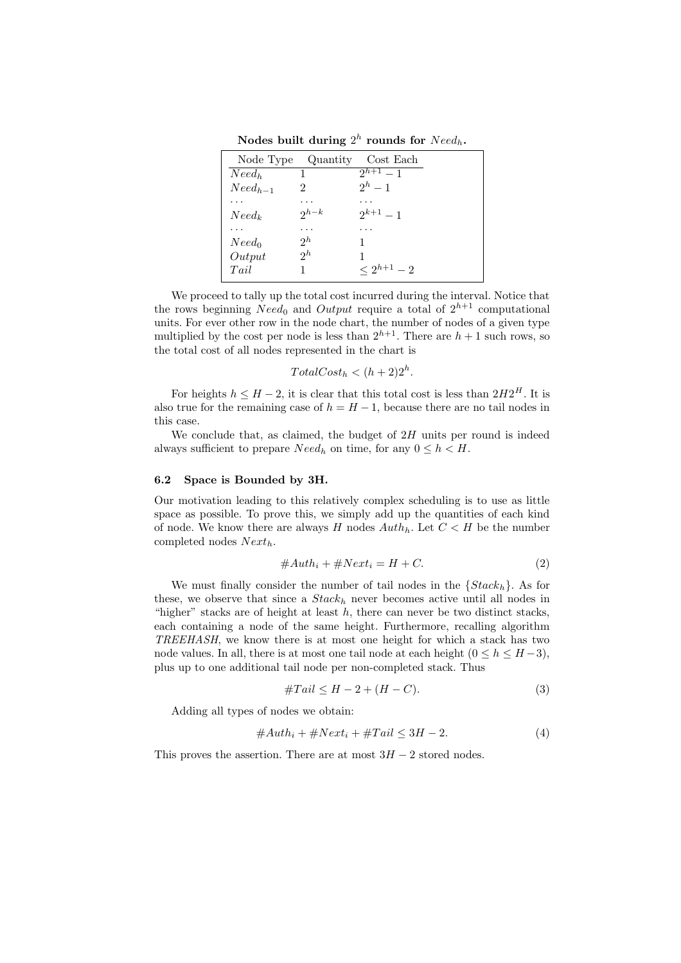Nodes built during  $2^h$  rounds for  $Need_h$ .

| Node Type         | Quantity       | Cost Each        |
|-------------------|----------------|------------------|
| Need <sub>b</sub> | 1              | $2^{h+1} - 1$    |
| $Need_{h-1}$      | 2              | $2^h - 1$        |
| .                 | $\cdot$ .      |                  |
| $Need_k$          | $2^{h-k}$      | $2^{k+1}-1$      |
| .                 | .              | $\cdot$ .        |
| Need <sub>0</sub> | 2 <sup>h</sup> |                  |
| Output            | 2 <sup>h</sup> |                  |
| Tail              |                | $\leq 2^{h+1}-2$ |

We proceed to tally up the total cost incurred during the interval. Notice that the rows beginning  $Need_0$  and  $Output$  require a total of  $2^{h+1}$  computational units. For ever other row in the node chart, the number of nodes of a given type multiplied by the cost per node is less than  $2^{h+1}$ . There are  $h+1$  such rows, so the total cost of all nodes represented in the chart is

$$
TotalCost_h < (h+2)2^h.
$$

For heights  $h \leq H - 2$ , it is clear that this total cost is less than  $2H2^H$ . It is also true for the remaining case of  $h = H - 1$ , because there are no tail nodes in this case.

We conclude that, as claimed, the budget of  $2H$  units per round is indeed always sufficient to prepare  $Need<sub>h</sub>$  on time, for any  $0 \leq h \leq H$ .

#### 6.2 Space is Bounded by 3H.

Our motivation leading to this relatively complex scheduling is to use as little space as possible. To prove this, we simply add up the quantities of each kind of node. We know there are always H nodes  $\text{Aut} h_h$ . Let  $C < H$  be the number completed nodes  $Next_h$ .

$$
\#Auth_i + \#Next_i = H + C.
$$
 (2)

We must finally consider the number of tail nodes in the  ${Stack<sub>h</sub>}$ . As for these, we observe that since a  $Stack_h$  never becomes active until all nodes in "higher" stacks are of height at least  $h$ , there can never be two distinct stacks, each containing a node of the same height. Furthermore, recalling algorithm TREEHASH, we know there is at most one height for which a stack has two node values. In all, there is at most one tail node at each height  $(0 \le h \le H-3)$ , plus up to one additional tail node per non-completed stack. Thus

$$
#Tail \leq H - 2 + (H - C). \tag{3}
$$

Adding all types of nodes we obtain:

$$
\#Auth_i + \#Next_i + \#Tail \le 3H - 2.
$$
 (4)

This proves the assertion. There are at most  $3H - 2$  stored nodes.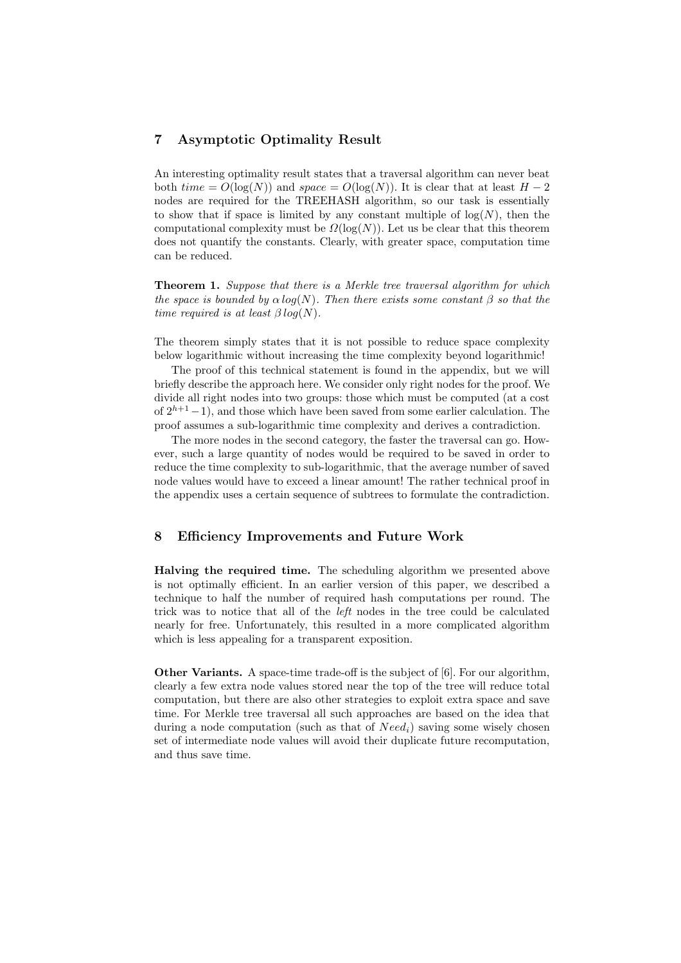## 7 Asymptotic Optimality Result

An interesting optimality result states that a traversal algorithm can never beat both  $time = O(log(N))$  and  $space = O(log(N))$ . It is clear that at least  $H - 2$ nodes are required for the TREEHASH algorithm, so our task is essentially to show that if space is limited by any constant multiple of  $log(N)$ , then the computational complexity must be  $\Omega(\log(N))$ . Let us be clear that this theorem does not quantify the constants. Clearly, with greater space, computation time can be reduced.

**Theorem 1.** Suppose that there is a Merkle tree traversal algorithm for which the space is bounded by  $\alpha \log(N)$ . Then there exists some constant  $\beta$  so that the time required is at least  $\beta \log(N)$ .

The theorem simply states that it is not possible to reduce space complexity below logarithmic without increasing the time complexity beyond logarithmic!

The proof of this technical statement is found in the appendix, but we will briefly describe the approach here. We consider only right nodes for the proof. We divide all right nodes into two groups: those which must be computed (at a cost of  $2^{h+1}-1$ , and those which have been saved from some earlier calculation. The proof assumes a sub-logarithmic time complexity and derives a contradiction.

The more nodes in the second category, the faster the traversal can go. However, such a large quantity of nodes would be required to be saved in order to reduce the time complexity to sub-logarithmic, that the average number of saved node values would have to exceed a linear amount! The rather technical proof in the appendix uses a certain sequence of subtrees to formulate the contradiction.

## 8 Efficiency Improvements and Future Work

Halving the required time. The scheduling algorithm we presented above is not optimally efficient. In an earlier version of this paper, we described a technique to half the number of required hash computations per round. The trick was to notice that all of the left nodes in the tree could be calculated nearly for free. Unfortunately, this resulted in a more complicated algorithm which is less appealing for a transparent exposition.

Other Variants. A space-time trade-off is the subject of [6]. For our algorithm, clearly a few extra node values stored near the top of the tree will reduce total computation, but there are also other strategies to exploit extra space and save time. For Merkle tree traversal all such approaches are based on the idea that during a node computation (such as that of  $Need<sub>i</sub>$ ) saving some wisely chosen set of intermediate node values will avoid their duplicate future recomputation, and thus save time.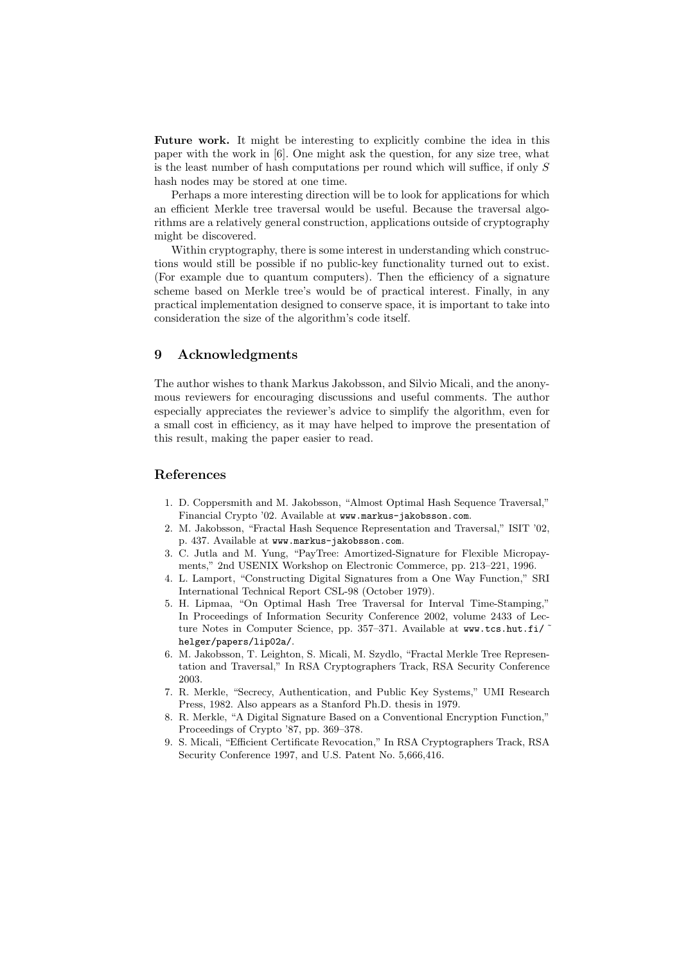Future work. It might be interesting to explicitly combine the idea in this paper with the work in [6]. One might ask the question, for any size tree, what is the least number of hash computations per round which will suffice, if only S hash nodes may be stored at one time.

Perhaps a more interesting direction will be to look for applications for which an efficient Merkle tree traversal would be useful. Because the traversal algorithms are a relatively general construction, applications outside of cryptography might be discovered.

Within cryptography, there is some interest in understanding which constructions would still be possible if no public-key functionality turned out to exist. (For example due to quantum computers). Then the efficiency of a signature scheme based on Merkle tree's would be of practical interest. Finally, in any practical implementation designed to conserve space, it is important to take into consideration the size of the algorithm's code itself.

## 9 Acknowledgments

The author wishes to thank Markus Jakobsson, and Silvio Micali, and the anonymous reviewers for encouraging discussions and useful comments. The author especially appreciates the reviewer's advice to simplify the algorithm, even for a small cost in efficiency, as it may have helped to improve the presentation of this result, making the paper easier to read.

#### References

- 1. D. Coppersmith and M. Jakobsson, "Almost Optimal Hash Sequence Traversal," Financial Crypto '02. Available at www.markus-jakobsson.com.
- 2. M. Jakobsson, "Fractal Hash Sequence Representation and Traversal," ISIT '02, p. 437. Available at www.markus-jakobsson.com.
- 3. C. Jutla and M. Yung, "PayTree: Amortized-Signature for Flexible Micropayments," 2nd USENIX Workshop on Electronic Commerce, pp. 213–221, 1996.
- 4. L. Lamport, "Constructing Digital Signatures from a One Way Function," SRI International Technical Report CSL-98 (October 1979).
- 5. H. Lipmaa, "On Optimal Hash Tree Traversal for Interval Time-Stamping," In Proceedings of Information Security Conference 2002, volume 2433 of Lecture Notes in Computer Science, pp. 357–371. Available at www.tcs.hut.fi/ helger/papers/lip02a/.
- 6. M. Jakobsson, T. Leighton, S. Micali, M. Szydlo, "Fractal Merkle Tree Representation and Traversal," In RSA Cryptographers Track, RSA Security Conference 2003.
- 7. R. Merkle, "Secrecy, Authentication, and Public Key Systems," UMI Research Press, 1982. Also appears as a Stanford Ph.D. thesis in 1979.
- 8. R. Merkle, "A Digital Signature Based on a Conventional Encryption Function," Proceedings of Crypto '87, pp. 369–378.
- 9. S. Micali, "Efficient Certificate Revocation," In RSA Cryptographers Track, RSA Security Conference 1997, and U.S. Patent No. 5,666,416.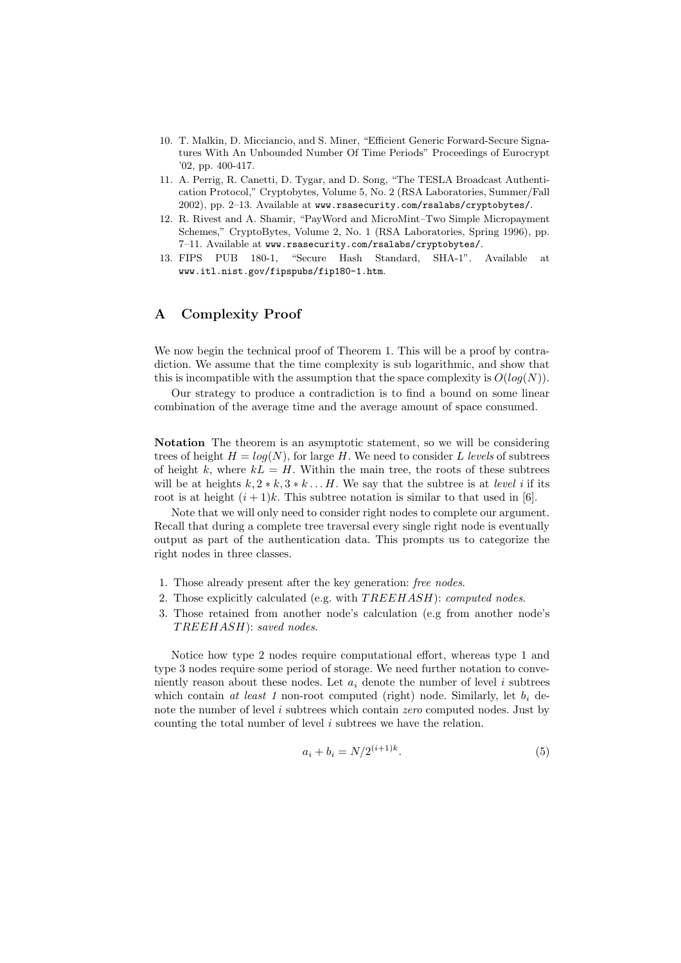- 10. T. Malkin, D. Micciancio, and S. Miner, "Efficient Generic Forward-Secure Signatures With An Unbounded Number Of Time Periods" Proceedings of Eurocrypt '02, pp. 400-417.
- 11. A. Perrig, R. Canetti, D. Tygar, and D. Song, "The TESLA Broadcast Authentication Protocol," Cryptobytes, Volume 5, No. 2 (RSA Laboratories, Summer/Fall 2002), pp. 2–13. Available at www.rsasecurity.com/rsalabs/cryptobytes/.
- 12. R. Rivest and A. Shamir, "PayWord and MicroMint–Two Simple Micropayment Schemes," CryptoBytes, Volume 2, No. 1 (RSA Laboratories, Spring 1996), pp. 7–11. Available at www.rsasecurity.com/rsalabs/cryptobytes/.
- 13. FIPS PUB 180-1, "Secure Hash Standard, SHA-1". Available at www.itl.nist.gov/fipspubs/fip180-1.htm.

## A Complexity Proof

We now begin the technical proof of Theorem 1. This will be a proof by contradiction. We assume that the time complexity is sub logarithmic, and show that this is incompatible with the assumption that the space complexity is  $O(log(N))$ .

Our strategy to produce a contradiction is to find a bound on some linear combination of the average time and the average amount of space consumed.

Notation The theorem is an asymptotic statement, so we will be considering trees of height  $H = log(N)$ , for large H. We need to consider L levels of subtrees of height k, where  $kL = H$ . Within the main tree, the roots of these subtrees will be at heights  $k, 2 * k, 3 * k \dots H$ . We say that the subtree is at level i if its root is at height  $(i + 1)k$ . This subtree notation is similar to that used in [6].

Note that we will only need to consider right nodes to complete our argument. Recall that during a complete tree traversal every single right node is eventually output as part of the authentication data. This prompts us to categorize the right nodes in three classes.

- 1. Those already present after the key generation: free nodes.
- 2. Those explicitly calculated (e.g. with TREEHASH): computed nodes.
- 3. Those retained from another node's calculation (e.g from another node's TREEHASH): saved nodes.

Notice how type 2 nodes require computational effort, whereas type 1 and type 3 nodes require some period of storage. We need further notation to conveniently reason about these nodes. Let  $a_i$  denote the number of level i subtrees which contain at least 1 non-root computed (right) node. Similarly, let  $b_i$  denote the number of level i subtrees which contain *zero* computed nodes. Just by counting the total number of level  $i$  subtrees we have the relation.

$$
a_i + b_i = N/2^{(i+1)k}.\t\t(5)
$$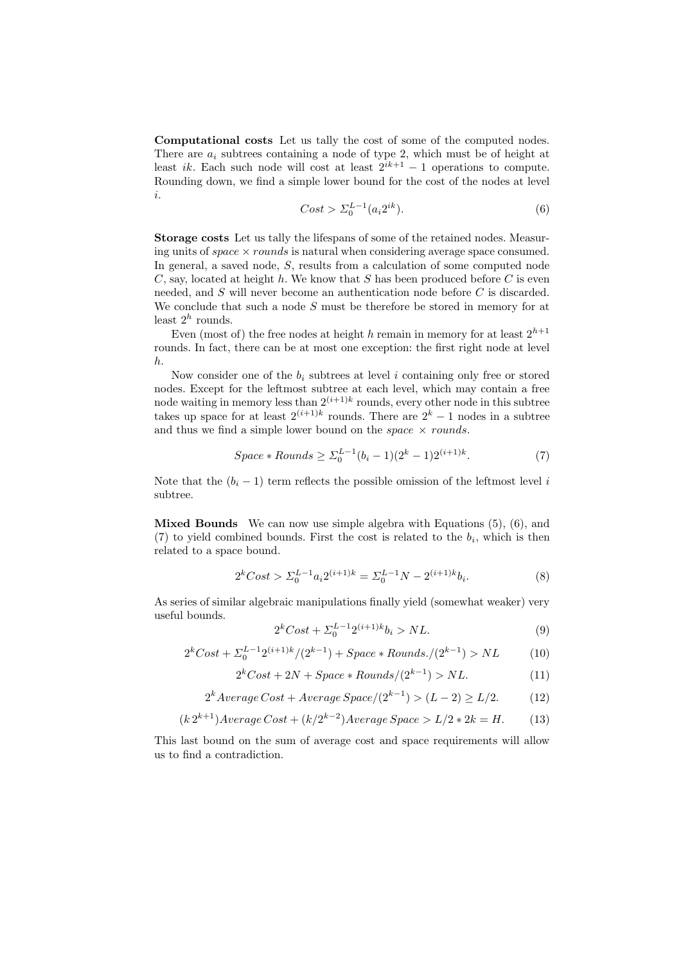Computational costs Let us tally the cost of some of the computed nodes. There are  $a_i$  subtrees containing a node of type 2, which must be of height at least ik. Each such node will cost at least  $2^{ik+1} - 1$  operations to compute. Rounding down, we find a simple lower bound for the cost of the nodes at level i.

$$
Cost > \Sigma_0^{L-1}(a_i 2^{ik}).
$$
\n(6)

Storage costs Let us tally the lifespans of some of the retained nodes. Measuring units of *space*  $\times$  *rounds* is natural when considering average space consumed. In general, a saved node, S, results from a calculation of some computed node  $C$ , say, located at height h. We know that S has been produced before C is even needed, and S will never become an authentication node before C is discarded. We conclude that such a node  $S$  must be therefore be stored in memory for at least  $2^h$  rounds.

Even (most of) the free nodes at height h remain in memory for at least  $2^{h+1}$ rounds. In fact, there can be at most one exception: the first right node at level h.

Now consider one of the  $b_i$  subtrees at level i containing only free or stored nodes. Except for the leftmost subtree at each level, which may contain a free node waiting in memory less than  $2^{(i+1)k}$  rounds, every other node in this subtree takes up space for at least  $2^{(i+1)k}$  rounds. There are  $2^k - 1$  nodes in a subtree and thus we find a simple lower bound on the space  $\times$  rounds.

$$
Space * Rounds \ge \sum_{0}^{L-1} (b_i - 1)(2^k - 1)2^{(i+1)k}.
$$
 (7)

Note that the  $(b_i - 1)$  term reflects the possible omission of the leftmost level i subtree.

Mixed Bounds We can now use simple algebra with Equations (5), (6), and (7) to yield combined bounds. First the cost is related to the  $b_i$ , which is then related to a space bound.

$$
2^{k}Cost > \Sigma_0^{L-1} a_i 2^{(i+1)k} = \Sigma_0^{L-1} N - 2^{(i+1)k} b_i.
$$
 (8)

As series of similar algebraic manipulations finally yield (somewhat weaker) very useful bounds.

$$
2^{k}Cost + \Sigma_0^{L-1} 2^{(i+1)k} b_i > NL.
$$
 (9)

$$
2^{k}Cost + \Sigma_{0}^{L-1} 2^{(i+1)k} / (2^{k-1}) + Space * Rounds. / (2^{k-1}) > NL
$$
 (10)

$$
2kCost + 2N + Space * Rounds/(2k-1) > NL.
$$
 (11)

$$
2kAverage Cost + Average Space/(2k-1) > (L-2) \ge L/2.
$$
 (12)

$$
(k 2^{k+1}) Average Cost + (k/2^{k-2}) Average Space > L/2 * 2k = H.
$$
 (13)

This last bound on the sum of average cost and space requirements will allow us to find a contradiction.